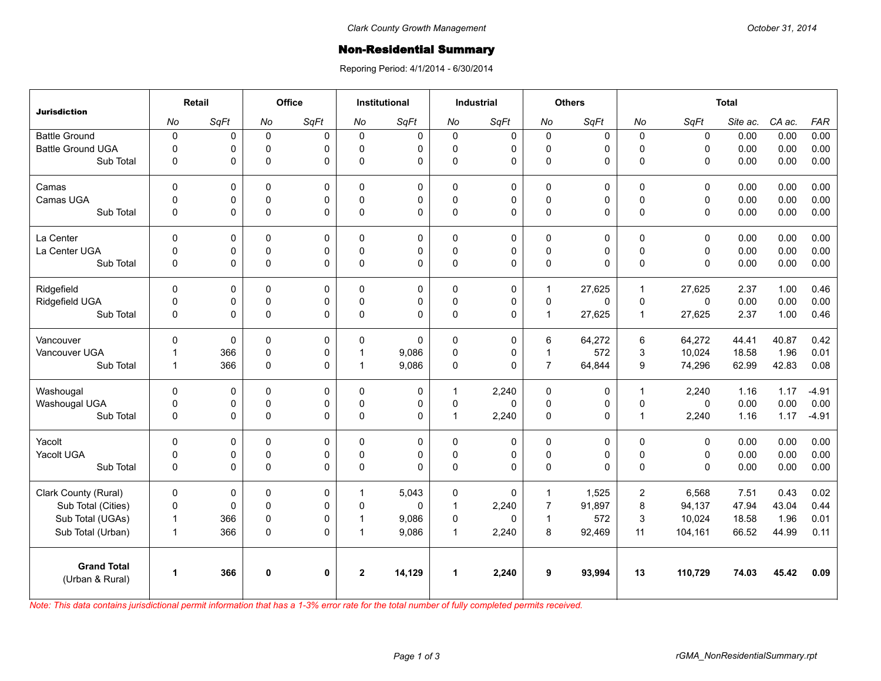## **Non-Residential Summary**

Reporing Period: 4/1/2014 - 6/30/2014

| <b>Jurisdiction</b>                   | Retail               |      | Office      |              | <b>Institutional</b> |             | <b>Industrial</b>    |              | <b>Others</b>  |             | <b>Total</b> |              |          |        |            |
|---------------------------------------|----------------------|------|-------------|--------------|----------------------|-------------|----------------------|--------------|----------------|-------------|--------------|--------------|----------|--------|------------|
|                                       | No                   | SqFt | No          | SqFt         | No                   | SaFt        | No                   | SqFt         | No             | SqFt        | No           | SqFt         | Site ac. | CA ac. | <b>FAR</b> |
| <b>Battle Ground</b>                  | $\pmb{0}$            | 0    | $\mathbf 0$ | $\Omega$     | $\Omega$             | $\mathbf 0$ | $\mathbf 0$          | 0            | $\mathbf 0$    | $\mathbf 0$ | 0            | $\mathbf 0$  | 0.00     | 0.00   | 0.00       |
| <b>Battle Ground UGA</b>              | $\mathsf 0$          | 0    | $\mathsf 0$ | 0            | $\mathbf 0$          | 0           | $\mathsf 0$          | $\mathsf 0$  | $\mathsf 0$    | 0           | $\pmb{0}$    | $\mathsf 0$  | 0.00     | 0.00   | 0.00       |
| Sub Total                             | $\mathbf 0$          | 0    | $\mathbf 0$ | $\Omega$     | $\Omega$             | $\Omega$    | $\mathbf 0$          | $\Omega$     | $\pmb{0}$      | 0           | $\Omega$     | $\mathbf{0}$ | 0.00     | 0.00   | 0.00       |
| Camas                                 | $\mathbf{0}$         | 0    | $\Omega$    | $\Omega$     | $\Omega$             | $\Omega$    | $\Omega$             | $\mathbf 0$  | $\Omega$       | $\Omega$    | $\Omega$     | $\mathbf{0}$ | 0.00     | 0.00   | 0.00       |
| Camas UGA                             | $\mathbf 0$          | 0    | $\mathbf 0$ | 0            | $\mathbf{0}$         | 0           | $\mathbf 0$          | 0            | $\pmb{0}$      | 0           | $\pmb{0}$    | $\mathbf 0$  | 0.00     | 0.00   | 0.00       |
| Sub Total                             | $\mathbf 0$          | 0    | $\mathsf 0$ | $\Omega$     | 0                    | 0           | $\pmb{0}$            | 0            | $\pmb{0}$      | 0           | $\mathbf 0$  | $\mathsf 0$  | 0.00     | 0.00   | 0.00       |
| La Center                             | $\mathbf 0$          | 0    | 0           | $\Omega$     | $\Omega$             | 0           | $\mathbf 0$          | 0            | 0              | 0           | $\mathbf 0$  | $\mathbf{0}$ | 0.00     | 0.00   | 0.00       |
| La Center UGA                         | 0                    | 0    | $\mathbf 0$ | $\mathbf 0$  | $\mathbf{0}$         | 0           | $\mathbf 0$          | $\mathsf 0$  | $\mathsf 0$    | 0           | $\pmb{0}$    | $\mathsf 0$  | 0.00     | 0.00   | 0.00       |
| Sub Total                             | $\mathbf 0$          | 0    | $\mathbf 0$ | $\Omega$     | $\Omega$             | $\Omega$    | $\Omega$             | $\Omega$     | $\pmb{0}$      | 0           | $\mathbf{0}$ | $\mathbf{0}$ | 0.00     | 0.00   | 0.00       |
| Ridgefield                            | $\Omega$             | 0    | $\Omega$    | $\Omega$     | $\Omega$             | $\Omega$    | $\Omega$             | 0            | $\mathbf{1}$   | 27,625      | $\mathbf{1}$ | 27.625       | 2.37     | 1.00   | 0.46       |
| Ridgefield UGA                        | 0                    | 0    | 0           | 0            | $\mathbf{0}$         | 0           | 0                    | 0            | $\mathbf 0$    | 0           | $\mathbf 0$  | $\mathbf{0}$ | 0.00     | 0.00   | 0.00       |
| Sub Total                             | 0                    | 0    | $\pmb{0}$   | $\Omega$     | $\Omega$             | $\Omega$    | $\pmb{0}$            | $\Omega$     | $\mathbf{1}$   | 27,625      | $\mathbf{1}$ | 27,625       | 2.37     | 1.00   | 0.46       |
| Vancouver                             | $\Omega$             | 0    | 0           | 0            | $\Omega$             | $\Omega$    | 0                    | 0            | 6              | 64.272      | 6            | 64,272       | 44.41    | 40.87  | 0.42       |
| Vancouver UGA                         | $\mathbf{1}$         | 366  | $\mathsf 0$ | 0            | $\mathbf 1$          | 9,086       | $\mathsf 0$          | $\pmb{0}$    | $\mathbf{1}$   | 572         | 3            | 10,024       | 18.58    | 1.96   | 0.01       |
| Sub Total                             | $\mathbf{1}$         | 366  | $\mathbf 0$ | $\Omega$     | 1                    | 9,086       | $\Omega$             | $\Omega$     | $\overline{7}$ | 64,844      | 9            | 74,296       | 62.99    | 42.83  | 0.08       |
| Washougal                             | $\mathbf{0}$         | 0    | $\Omega$    | $\Omega$     | $\Omega$             | 0           | $\mathbf{1}$         | 2.240        | $\mathbf 0$    | 0           | $\mathbf{1}$ | 2.240        | 1.16     | 1.17   | $-4.91$    |
| Washougal UGA                         | 0                    | 0    | 0           | 0            | $\Omega$             | 0           | 0                    | $\Omega$     | $\pmb{0}$      | 0           | $\pmb{0}$    | $\mathbf{0}$ | 0.00     | 0.00   | 0.00       |
| Sub Total                             | 0                    | 0    | $\pmb{0}$   | 0            | 0                    | 0           | $\mathbf{1}$         | 2,240        | $\mathsf 0$    | 0           | $\mathbf{1}$ | 2,240        | 1.16     | 1.17   | $-4.91$    |
| Yacolt                                | 0                    | 0    | 0           | $\Omega$     | $\Omega$             | 0           | 0                    | 0            | 0              | 0           | $\mathbf 0$  | $\mathbf 0$  | 0.00     | 0.00   | 0.00       |
| Yacolt UGA                            | 0                    | 0    | 0           | 0            | 0                    | 0           | 0                    | $\pmb{0}$    | $\mathsf 0$    | 0           | $\pmb{0}$    | $\mathsf 0$  | 0.00     | 0.00   | 0.00       |
| Sub Total                             | $\mathbf 0$          | 0    | $\mathbf 0$ | $\Omega$     | $\Omega$             | $\Omega$    | $\Omega$             | $\Omega$     | $\pmb{0}$      | 0           | $\mathbf{0}$ | $\mathbf{0}$ | 0.00     | 0.00   | 0.00       |
| Clark County (Rural)                  | $\Omega$             | 0    | 0           | $\Omega$     | $\mathbf 1$          | 5.043       | $\Omega$             | 0            | $\mathbf 1$    | 1,525       | 2            | 6.568        | 7.51     | 0.43   | 0.02       |
| Sub Total (Cities)                    | $\pmb{0}$            | 0    | $\mathbf 0$ | $\Omega$     | $\Omega$             | 0           | $\mathbf{1}$         | 2,240        | $\overline{7}$ | 91,897      | 8            | 94,137       | 47.94    | 43.04  | 0.44       |
| Sub Total (UGAs)                      | $\mathbf{1}$         | 366  | $\mathsf 0$ | $\mathbf 0$  | $\mathbf 1$          | 9,086       | 0                    | $\mathbf{0}$ | $\mathbf{1}$   | 572         | $\sqrt{3}$   | 10,024       | 18.58    | 1.96   | 0.01       |
| Sub Total (Urban)                     | $\mathbf{1}$         | 366  | $\pmb{0}$   | $\Omega$     | $\overline{1}$       | 9,086       | $\mathbf{1}$         | 2,240        | 8              | 92,469      | 11           | 104,161      | 66.52    | 44.99  | 0.11       |
| <b>Grand Total</b><br>(Urban & Rural) | $\blacktriangleleft$ | 366  | $\mathbf 0$ | $\mathbf{0}$ | $\overline{2}$       | 14,129      | $\blacktriangleleft$ | 2,240        | 9              | 93,994      | 13           | 110,729      | 74.03    | 45.42  | 0.09       |
|                                       |                      |      |             |              |                      |             |                      |              |                |             |              |              |          |        |            |

*Note: This data contains jurisdictional permit information that has a 1-3% error rate for the total number of fully completed permits received.*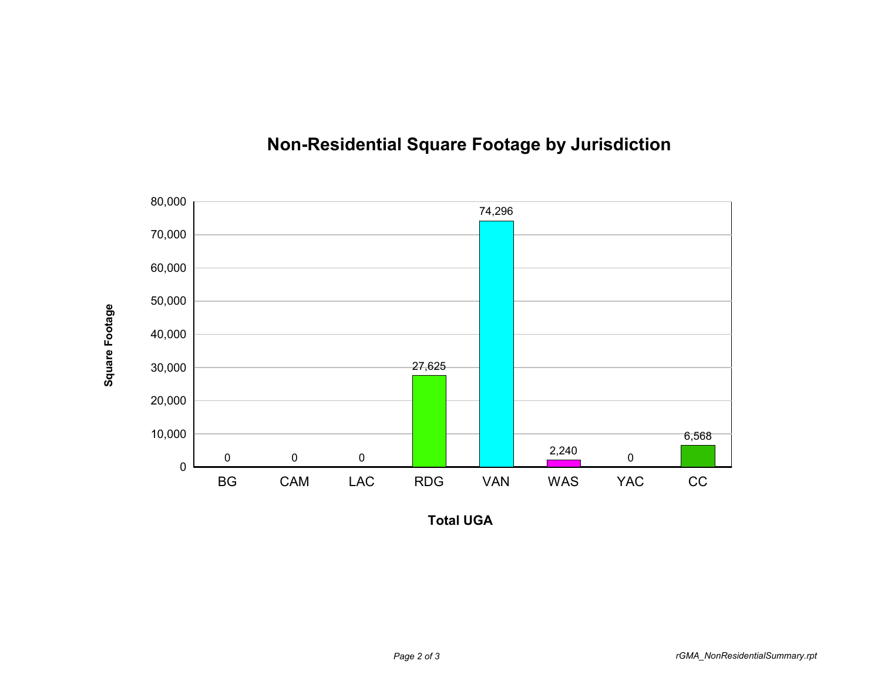

## **Non-Residential Square Footage by Jurisdiction**

**Total UGA**